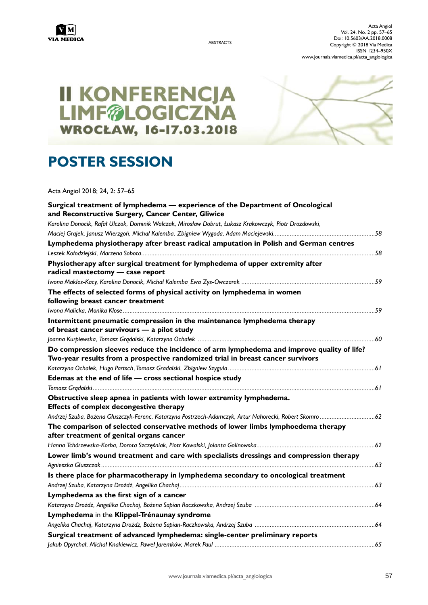

ABSTRACTS

Acta Angiol Vol. 24, No. 2 pp. 57–65 Doi: 10.5603/AA.2018.0008 Copyright © 2018 Via Medica ISSN 1234–950X www.journals.viamedica.pl/acta\_angiologica

# II KONFERENCJA<br>LIMF@LOGICZNA **WROCŁAW, 16-17.03.2018**

# **POSTER SESSION**

Acta Angiol 2018; 24, 2: 57–65

| Surgical treatment of lymphedema - experience of the Department of Oncological                          |  |
|---------------------------------------------------------------------------------------------------------|--|
| and Reconstructive Surgery, Cancer Center, Gliwice                                                      |  |
| Karolina Donocik, Rafał Ulczok, Dominik Walczak, Mirosław Dobrut, Łukasz Krakowczyk, Piotr Drozdowski,  |  |
|                                                                                                         |  |
| Lymphedema physiotherapy after breast radical amputation in Polish and German centres                   |  |
|                                                                                                         |  |
| Physiotherapy after surgical treatment for lymphedema of upper extremity after                          |  |
| radical mastectomy - case report                                                                        |  |
|                                                                                                         |  |
| The effects of selected forms of physical activity on lymphedema in women                               |  |
| following breast cancer treatment                                                                       |  |
| Intermittent pneumatic compression in the maintenance lymphedema therapy                                |  |
| of breast cancer survivours - a pilot study                                                             |  |
|                                                                                                         |  |
| Do compression sleeves reduce the incidence of arm lymphedema and improve quality of life?              |  |
| Two-year results from a prospective randomized trial in breast cancer survivors                         |  |
|                                                                                                         |  |
| Edemas at the end of life - cross sectional hospice study                                               |  |
|                                                                                                         |  |
| Obstructive sleep apnea in patients with lower extremity lymphedema.                                    |  |
| Effects of complex decongestive therapy                                                                 |  |
| Andrzej Szuba, Bożena Głuszczyk-Ferenc, Katarzyna Postrzech-Adamczyk, Artur Nahorecki, Robert Skomro 62 |  |
| The comparison of selected conservative methods of lower limbs lymphoedema therapy                      |  |
| after treatment of genital organs cancer                                                                |  |
| Hanna Tchórzewska-Korba, Dorota Szczęśniak, Piotr Kowalski, Jolanta Golinowska…………………………………………………………62  |  |
| Lower limb's wound treatment and care with specialists dressings and compression therapy                |  |
|                                                                                                         |  |
| Is there place for pharmacotherapy in lymphedema secondary to oncological treatment                     |  |
|                                                                                                         |  |
| Lymphedema as the first sign of a cancer                                                                |  |
|                                                                                                         |  |
| Lymphedema in the Klippel-Trénaunay syndrome                                                            |  |
|                                                                                                         |  |
| Surgical treatment of advanced lymphedema: single-center preliminary reports                            |  |
|                                                                                                         |  |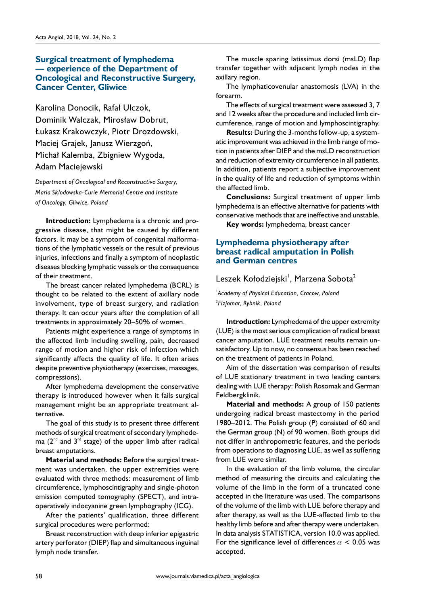#### **Surgical treatment of lymphedema — experience of the Department of Oncological and Reconstructive Surgery, Cancer Center, Gliwice**

Karolina Donocik, Rafał Ulczok, Dominik Walczak, Mirosław Dobrut, Łukasz Krakowczyk, Piotr Drozdowski, Maciej Grajek, Janusz Wierzgoń, Michał Kalemba, Zbigniew Wygoda, Adam Maciejewski

*Department of Oncological and Reconstructive Surgery, Maria Sklodowska-Curie Memorial Centre and Institute of Oncology, Gliwice, Poland*

**Introduction:** Lymphedema is a chronic and progressive disease, that might be caused by different factors. It may be a symptom of congenital malformations of the lymphatic vessels or the result of previous injuries, infections and finally a symptom of neoplastic diseases blocking lymphatic vessels or the consequence of their treatment.

The breast cancer related lymphedema (BCRL) is thought to be related to the extent of axillary node involvement, type of breast surgery, and radiation therapy. It can occur years after the completion of all treatments in approximately 20–50% of women.

Patients might experience a range of symptoms in the affected limb including swelling, pain, decreased range of motion and higher risk of infection which significantly affects the quality of life. It often arises despite preventive physiotherapy (exercises, massages, compressions).

After lymphedema development the conservative therapy is introduced however when it fails surgical management might be an appropriate treatment alternative.

The goal of this study is to present three different methods of surgical treatment of secondary lymphedema  $(2^{nd}$  and  $3^{rd}$  stage) of the upper limb after radical breast amputations.

**Material and methods:** Before the surgical treatment was undertaken, the upper extremities were evaluated with three methods: measurement of limb circumference, lymphoscintigraphy and single-photon emission computed tomography (SPECT), and intraoperatively indocyanine green lymphography (ICG).

After the patients' qualification, three different surgical procedures were performed:

Breast reconstruction with deep inferior epigastric artery perforator (DIEP) flap and simultaneous inguinal lymph node transfer.

The muscle sparing latissimus dorsi (msLD) flap transfer together with adjacent lymph nodes in the axillary region.

The lymphaticovenular anastomosis (LVA) in the forearm.

The effects of surgical treatment were assessed 3, 7 and 12 weeks after the procedure and included limb circumference, range of motion and lymphoscintigraphy.

**Results:** During the 3-months follow-up, a systematic improvement was achieved in the limb range of motion in patients after DIEP and the msLD reconstruction and reduction of extremity circumference in all patients. In addition, patients report a subjective improvement in the quality of life and reduction of symptoms within the affected limb.

**Conclusions:** Surgical treatment of upper limb lymphedema is an effective alternative for patients with conservative methods that are ineffective and unstable.

**Key words:** lymphedema, breast cancer

#### **Lymphedema physiotherapy after breast radical amputation in Polish and German centres**

Leszek Kołodziejski<sup>'</sup>, Marzena Sobota<sup>2</sup>

1 *Academy of Physical Education, Cracow, Poland* 2 *Fizjomar, Rybnik, Poland*

**Introduction:** Lymphedema of the upper extremity (LUE) is the most serious complication of radical breast cancer amputation. LUE treatment results remain unsatisfactory. Up to now, no consensus has been reached on the treatment of patients in Poland.

Aim of the dissertation was comparison of results of LUE stationary treatment in two leading centers dealing with LUE therapy: Polish Rosomak and German Feldbergklinik.

**Material and methods:** A group of 150 patients undergoing radical breast mastectomy in the period 1980–2012. The Polish group (P) consisted of 60 and the German group (N) of 90 women. Both groups did not differ in anthropometric features, and the periods from operations to diagnosing LUE, as well as suffering from LUE were similar.

In the evaluation of the limb volume, the circular method of measuring the circuits and calculating the volume of the limb in the form of a truncated cone accepted in the literature was used. The comparisons of the volume of the limb with LUE before therapy and after therapy, as well as the LUE-affected limb to the healthy limb before and after therapy were undertaken. In data analysis STATISTICA, version 10.0 was applied. For the significance level of differences  $\alpha$  < 0.05 was accepted.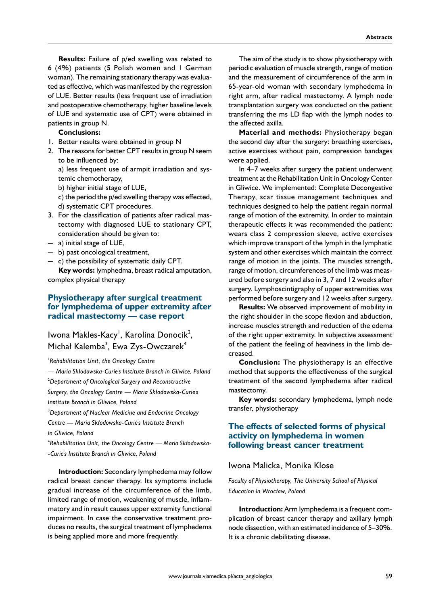**Results:** Failure of p/ed swelling was related to 6 (4%) patients (5 Polish women and 1 German woman). The remaining stationary therapy was evaluated as effective, which was manifested by the regression of LUE. Better results (less frequent use of irradiation and postoperative chemotherapy, higher baseline levels of LUE and systematic use of CPT) were obtained in patients in group N.

#### **Conclusions:**

- 1. Better results were obtained in group N
- 2. The reasons for better CPT results in group N seem to be influenced by:

a) less frequent use of armpit irradiation and systemic chemotherapy,

- b) higher initial stage of LUE,
- c) the period the p/ed swelling therapy was effected, d) systematic CPT procedures.
- 3. For the classification of patients after radical mastectomy with diagnosed LUE to stationary CPT, consideration should be given to:
- a) initial stage of LUE,
- b) past oncological treatment,
- c) the possibility of systematic daily CPT.

**Key words:** lymphedma, breast radical amputation, complex physical therapy

#### **Physiotherapy after surgical treatment for lymphedema of upper extremity after radical mastectomy — case report**

### lwona Makles-Kacy', Karolina Donocik<sup>2</sup>, Michał Kalemba<sup>3</sup>, Ewa Zys-Owczarek<sup>4</sup>

1 *Rehabilitation Unit, the Oncology Centre* 

*— Maria Skłodowska-Curie' s Institute Branch in Gliwice, Poland* 2 *Department of Oncological Surgery and Reconstructive Surgery, the Oncology Centre — Maria Skłodowska-Curie' s Institute Branch in Gliwice, Poland*

3 *Department of Nuclear Medicine and Endocrine Oncology Centre — Maria Skłodowska-Curie' s Institute Branch in Gliwice, Poland*

4 *Rehabilitation Unit, the Oncology Centre — Maria Skłodowska- -Curie' s Institute Branch in Gliwice, Poland*

**Introduction:** Secondary lymphedema may follow radical breast cancer therapy. Its symptoms include gradual increase of the circumference of the limb, limited range of motion, weakening of muscle, inflammatory and in result causes upper extremity functional impairment. In case the conservative treatment produces no results, the surgical treatment of lymphedema is being applied more and more frequently.

The aim of the study is to show physiotherapy with periodic evaluation of muscle strength, range of motion and the measurement of circumference of the arm in 65-year-old woman with secondary lymphedema in right arm, after radical mastectomy. A lymph node transplantation surgery was conducted on the patient transferring the ms LD flap with the lymph nodes to the affected axilla.

**Material and methods:** Physiotherapy began the second day after the surgery: breathing exercises, active exercises without pain, compression bandages were applied.

In 4–7 weeks after surgery the patient underwent treatment at the Rehabilitation Unit in Oncology Center in Gliwice. We implemented: Complete Decongestive Therapy, scar tissue management techniques and techniques designed to help the patient regain normal range of motion of the extremity. In order to maintain therapeutic effects it was recommended the patient: wears class 2 compression sleeve, active exercises which improve transport of the lymph in the lymphatic system and other exercises which maintain the correct range of motion in the joints. The muscles strength, range of motion, circumferences of the limb was measured before surgery and also in 3, 7 and 12 weeks after surgery. Lymphoscintigraphy of upper extremities was performed before surgery and 12 weeks after surgery.

**Results:** We observed improvement of mobility in the right shoulder in the scope flexion and abduction, increase muscles strength and reduction of the edema of the right upper extremity. In subjective assessment of the patient the feeling of heaviness in the limb decreased.

**Conclusion:** The physiotherapy is an effective method that supports the effectiveness of the surgical treatment of the second lymphedema after radical mastectomy.

**Key words:** secondary lymphedema, lymph node transfer, physiotherapy

#### **The effects of selected forms of physical activity on lymphedema in women following breast cancer treatment**

#### Iwona Malicka, Monika Klose

*Faculty of Physiotherapy, The University School of Physical Education in Wrocław, Poland*

**Introduction:** Arm lymphedema is a frequent complication of breast cancer therapy and axillary lymph node dissection, with an estimated incidence of 5–30%. It is a chronic debilitating disease.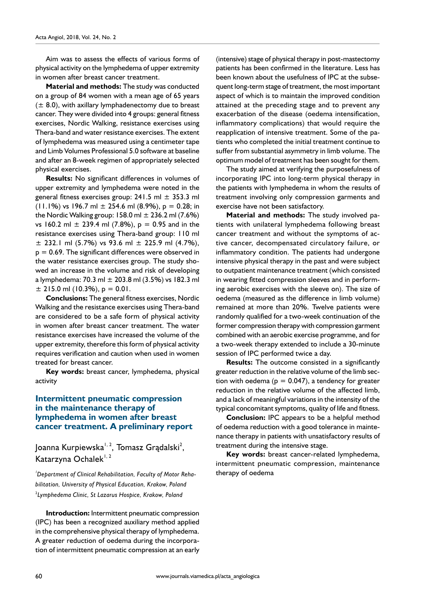Aim was to assess the effects of various forms of physical activity on the lymphedema of upper extremity in women after breast cancer treatment.

**Material and methods:** The study was conducted on a group of 84 women with a mean age of 65 years  $(± 8.0)$ , with axillary lymphadenectomy due to breast cancer. They were divided into 4 groups: general fitness exercises, Nordic Walking, resistance exercises using Thera-band and water resistance exercises. The extent of lymphedema was measured using a centimeter tape and Limb Volumes Professional 5.0 software at baseline and after an 8-week regimen of appropriately selected physical exercises.

**Results:** No significant differences in volumes of upper extremity and lymphedema were noted in the general fitness exercises group:  $241.5$  ml  $\pm$  353.3 ml  $(11.1\%)$  vs 196.7 ml  $\pm$  254.6 ml (8.9%), p = 0.28; in the Nordic Walking group:  $158.0$  ml  $\pm$  236.2 ml (7.6%) vs 160.2 ml  $\pm$  239.4 ml (7.8%), p = 0.95 and in the resistance exercises using Thera-band group: 110 ml  $\pm$  232.1 ml (5.7%) vs 93.6 ml  $\pm$  225.9 ml (4.7%),  $p = 0.69$ . The significant differences were observed in the water resistance exercises group. The study showed an increase in the volume and risk of developing a lymphedema: 70.3 ml  $\pm$  203.8 ml (3.5%) vs 182.3 ml  $± 215.0$  ml (10.3%), p = 0.01.

**Conclusions:** The general fitness exercises, Nordic Walking and the resistance exercises using Thera-band are considered to be a safe form of physical activity in women after breast cancer treatment. The water resistance exercises have increased the volume of the upper extremity, therefore this form of physical activity requires verification and caution when used in women treated for breast cancer.

**Key words:** breast cancer, lymphedema, physical activity

#### **Intermittent pneumatic compression in the maintenance therapy of lymphedema in women after breast cancer treatment. A preliminary report**

Joanna Kurpiewska<sup>1, 2</sup>, Tomasz Grądalski<sup>2</sup>, Katarzyna Ochalek<sup>1, 2</sup>

*1 Department of Clinical Rehabilitation, Faculty of Motor Rehabilitation, University of Physical Education, Krakow, Poland* 2 *Lymphedema Clinic, St Lazarus Hospice, Krakow, Poland*

**Introduction:** Intermittent pneumatic compression (IPC) has been a recognized auxiliary method applied in the comprehensive physical therapy of lymphedema. A greater reduction of oedema during the incorporation of intermittent pneumatic compression at an early

(intensive) stage of physical therapy in post-mastectomy patients has been confirmed in the literature. Less has been known about the usefulness of IPC at the subsequent long-term stage of treatment, the most important aspect of which is to maintain the improved condition attained at the preceding stage and to prevent any exacerbation of the disease (oedema intensification, inflammatory complications) that would require the reapplication of intensive treatment. Some of the patients who completed the initial treatment continue to suffer from substantial asymmetry in limb volume. The optimum model of treatment has been sought for them.

The study aimed at verifying the purposefulness of incorporating IPC into long-term physical therapy in the patients with lymphedema in whom the results of treatment involving only compression garments and exercise have not been satisfactory.

**Material and methods:** The study involved patients with unilateral lymphedema following breast cancer treatment and without the symptoms of active cancer, decompensated circulatory failure, or inflammatory condition. The patients had undergone intensive physical therapy in the past and were subject to outpatient maintenance treatment (which consisted in wearing fitted compression sleeves and in performing aerobic exercises with the sleeve on). The size of oedema (measured as the difference in limb volume) remained at more than 20%. Twelve patients were randomly qualified for a two-week continuation of the former compression therapy with compression garment combined with an aerobic exercise programme, and for a two-week therapy extended to include a 30-minute session of IPC performed twice a day.

**Results:** The outcome consisted in a significantly greater reduction in the relative volume of the limb section with oedema ( $p = 0.047$ ), a tendency for greater reduction in the relative volume of the affected limb, and a lack of meaningful variations in the intensity of the typical concomitant symptoms, quality of life and fitness.

**Conclusion:** IPC appears to be a helpful method of oedema reduction with a good tolerance in maintenance therapy in patients with unsatisfactory results of treatment during the intensive stage.

**Key words:** breast cancer-related lymphedema, intermittent pneumatic compression, maintenance therapy of oedema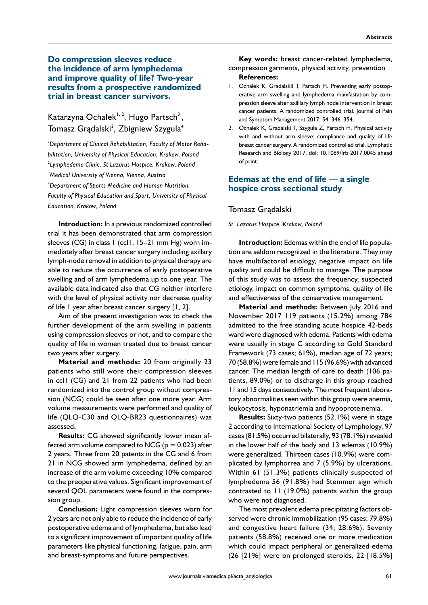#### **Do compression sleeves reduce the incidence of arm lymphedema and improve quality of life? Two-year results from a prospective randomized trial in breast cancer survivors.**

## Katarzyna Ochałek<sup>1, 2</sup>, Hugo Partsch<sup>3</sup>, Tomasz Grądalski $^{\rm 2}$ , Zbigniew Szygula $^{\rm 4}$

*1 Department of Clinical Rehabilitation, Faculty of Motor Rehabilitation, University of Physical Education, Krakow, Poland* 2 *Lymphedema Clinic, St Lazarus Hospice, Krakow, Poland 3 Medical University of Vienna, Vienna, Austria 4 Department of Sports Medicine and Human Nutrition, Faculty of Physical Education and Sport, University of Physical Education, Krakow, Poland* 

**Introduction:** In a previous randomized controlled trial it has been demonstrated that arm compression sleeves (CG) in class 1 (ccl1, 15-21 mm Hg) worn immediately after breast cancer surgery including axillary lymph-node removal in addition to physical therapy are able to reduce the occurrence of early postoperative swelling and of arm lymphedema up to one year. The available data indicated also that CG neither interfere with the level of physical activity nor decrease quality of life 1 year after breast cancer surgery [1, 2].

Aim of the present investigation was to check the further development of the arm swelling in patients using compression sleeves or not, and to compare the quality of life in women treated due to breast cancer two years after surgery.

**Material and methods:** 20 from originally 23 patients who still wore their compression sleeves in ccl1 (CG) and 21 from 22 patients who had been randomized into the control group without compression (NCG) could be seen after one more year. Arm volume measurements were performed and quality of life (QLQ-C30 and QLQ-BR23 questionnaires) was assessed**.** 

**Results:** CG showed significantly lower mean affected arm volume compared to NCG ( $p = 0.023$ ) after 2 years. Three from 20 patents in the CG and 6 from 21 in NCG showed arm lymphedema, defined by an increase of the arm volume exceeding 10% compared to the preoperative values. Significant improvement of several QOL parameters were found in the compression group.

**Conclusion:** Light compression sleeves worn for 2 years are not only able to reduce the incidence of early postoperative edema and of lymphedema, but also lead to a significant improvement of important quality of life parameters like physical functioning, fatigue, pain, arm and breast-symptoms and future perspectives.

**Key words:** breast cancer-related lymphedema, compression garments, physical activity, prevention

# **References:**

- 1. Ochalek K, Gradalskii T, Partsch H. Preventing early postoperative arm swelling and lymphedema manifastation by compression sleeve after axilllary lymph node intervention in breast cancer patients. A randomized controlled trial. Journal of Pain and Symptom Management 2017; 54: 346–354.
- 2. Ochalek K, Gradalski T, Szygula Z, Partsch H. Physical activity with and without arm sleeve: compliance and quality of life breast cancer surgery. A randomized controlled trial. Lymphatic Research and Biology 2017, doi: 10.1089/Irb 2017.0045 ahead of print.

#### **Edemas at the end of life — a single hospice cross sectional study**

#### Tomasz Grądalski

#### *St. Lazarus Hospice, Krakow, Poland*

**Introduction:** Edemas within the end of life population are seldom recognized in the literature. They may have multifactorial etiology, negative impact on life quality and could be difficult to manage. The purpose of this study was to assess the frequency, suspected etiology, impact on common symptoms, quality of life and effectiveness of the conservative management.

**Material and methods:** Between July 2016 and November 2017 119 patients (15.2%) among 784 admitted to the free standing acute hospice 42-beds ward were diagnosed with edema. Patients with edema were usually in stage C according to Gold Standard Framework (73 cases; 61%), median age of 72 years; 70 (58.8%) were female and 115 (96.6%) with advanced cancer. The median length of care to death (106 patients, 89.0%) or to discharge in this group reached 11 and 15 days consecutively. The most frequent laboratory abnormalities seen within this group were anemia, leukocytosis, hyponatriemia and hypoproteinemia.

**Results:** Sixty-two patients (52.1%) were in stage 2 according to International Society of Lymphology, 97 cases (81.5%) occurred bilaterally, 93 (78.1%) revealed in the lower half of the body and 13 edemas (10.9%) were generalized. Thirteen cases (10.9%) were complicated by lymphorrea and 7 (5.9%) by ulcerations. Within 61 (51.3%) patients clinically suspected of lymphedema 56 (91.8%) had Stemmer sign which contrasted to 11 (19.0%) patients within the group who were not diagnosed.

The most prevalent edema precipitating factors observed were chronic immobilization (95 cases; 79,8%) and congestive heart failure (34; 28.6%). Seventy patients (58.8%) received one or more medication which could impact peripheral or generalized edema (26 [21%] were on prolonged steroids, 22 [18.5%]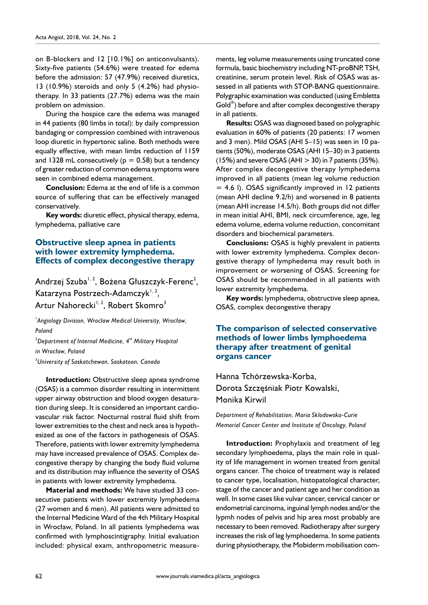on B-blockers and 12 [10.1%] on anticonvulsants). Sixty-five patients (54.6%) were treated for edema before the admission: 57 (47.9%) received diuretics, 13 (10.9%) steroids and only 5 (4.2%) had physiotherapy. In 33 patients (27.7%) edema was the main problem on admission.

During the hospice care the edema was managed in 44 patients (80 limbs in total): by daily compression bandaging or compression combined with intravenous loop diuretic in hypertonic saline. Both methods were equally effective, with mean limbs reduction of 1159 and 1328 mL consecutively ( $p = 0.58$ ) but a tendency of greater reduction of common edema symptoms were seen in combined edema management.

**Conclusion:** Edema at the end of life is a common source of suffering that can be effectively managed conservatively.

**Key words:** diuretic effect, physical therapy, edema, lymphedema, palliative care

#### **Obstructive sleep apnea in patients with lower extremity lymphedema. Effects of complex decongestive therapy**

Andrzej Szuba<sup>1, 2</sup>, Bożena Głuszczyk-Ferenc<sup>2</sup>, Katarzyna Postrzech-Adamczyk<sup>1, 2</sup>, Artur Nahorecki<sup>1, 2</sup>, Robert Skomro<sup>3</sup>

1 *Angiology Division, Wroclaw Medical University, Wrocław, Poland*

2 *Department of Internal Medicine, 4th Military Hospital in Wrocław, Poland*

3 *University of Saskatchewan, Saskatoon, Canada*

**Introduction:** Obstructive sleep apnea syndrome (OSAS) is a common disorder resulting in intermittent upper airway obstruction and blood oxygen desaturation during sleep. It is considered an important cardiovascular risk factor. Nocturnal rostral fluid shift from lower extremities to the chest and neck area is hypothesized as one of the factors in pathogenesis of OSAS. Therefore, patients with lower extremity lymphedema may have increased prevalence of OSAS. Complex decongestive therapy by changing the body fluid volume and its distribution may influence the severity of OSAS in patients with lower extremity lymphedema.

**Material and methods:** We have studied 33 consecutive patients with lower extremity lymphedema (27 women and 6 men). All patients were admitted to the Internal Medicine Ward of the 4th Military Hospital in Wrocław, Poland. In all patients lymphedema was confirmed with lymphoscintigraphy. Initial evaluation included: physical exam, anthropometric measurements, leg volume measurements using truncated cone formula, basic biochemistry including NT-proBNP, TSH, creatinine, serum protein level. Risk of OSAS was assessed in all patients with STOP-BANG questionnaire. Polygraphic examination was conducted (using Embletta Gold®) before and after complex decongestive therapy in all patients.

**Results:** OSAS was diagnosed based on polygraphic evaluation in 60% of patients (20 patients: 17 women and 3 men). Mild OSAS (AHI 5–15) was seen in 10 patients (50%), moderate OSAS (AHI 15–30) in 3 patients  $(15%)$  and severe OSAS (AHI  $>$  30) in 7 patients (35%). After complex decongestive therapy lymphedema improved in all patients (mean leg volume reduction  $= 4.6$  l). OSAS significantly improved in 12 patients (mean AHI decline 9.2/h) and worsened in 8 patients (mean AHI increase 14.5/h). Both groups did not differ in mean initial AHI, BMI, neck circumference, age, leg edema volume, edema volume reduction, concomitant disorders and biochemical parameters.

**Conclusions:** OSAS is highly prevalent in patients with lower extremity lymphedema. Complex decongestive therapy of lymphedema may result both in improvement or worsening of OSAS. Screening for OSAS should be recommended in all patients with lower extremity lymphedema.

**Key words:** lymphedema, obstructive sleep apnea, OSAS, complex decongestive therapy

#### **The comparison of selected conservative methods of lower limbs lymphoedema therapy after treatment of genital organs cancer**

Hanna Tchórzewska-Korba, Dorota Szczęśniak Piotr Kowalski, Monika Kirwil

*Department of Rehabilitation, Maria Sklodowska-Curie Memorial Cancer Center and Institute of Oncology, Poland* 

**Introduction:** Prophylaxis and treatment of leg secondary lymphoedema, plays the main role in quality of life management in women treated from genital organs cancer. The choice of treatment way is related to cancer type, localisation, histopatological character, stage of the cancer and patient age and her condition as well. In some cases like vulvar cancer, cervical cancer or endometrial carcinoma, inguinal lymph nodes and/or the lypmh nodes of pelvis and hip area most probably are necessary to been removed. Radiotherapy after surgery increases the risk of leg lymphoedema. In some patients during physiotherapy, the Mobiderm mobilisation com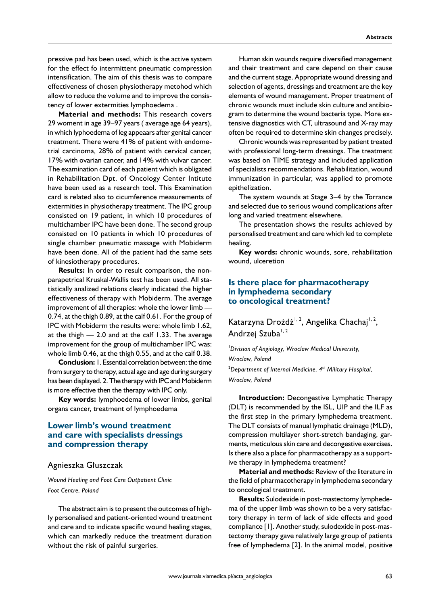pressive pad has been used, which is the active system for the effect fo intermittent pneumatic compression intensification. The aim of this thesis was to compare effectiveness of chosen physiotherapy metohod which allow to reduce the volume and to improve the consistency of lower extermities lymphoedema .

**Material and methods:** This research covers 29 woment in age 39–97 years ( average age 64 years), in which lyphoedema of leg appeaars after genital cancer treatment. There were 41% of patient with endometrial carcinoma, 28% of patient with cervical cancer, 17% with ovarian cancer, and 14% with vulvar cancer. The examination card of each patient which is obligated in Rehabilitation Dpt. of Oncology Center Intitute have been used as a research tool. This Examination card is related also to cicumference measurements of extermities in physiotherapy treatment. The IPC group consisted on 19 patient, in which 10 procedures of multichamber IPC have been done. The second group consisted on 10 patients in which 10 procedures of single chamber pneumatic massage with Mobiderm have been done. All of the patient had the same sets of kinesiotherapy procedures.

**Results:** In order to result comparison, the nonparapetrical Kruskal-Wallis test has been used. All statistically analized relations clearly indicated the higher effectiveness of therapy with Mobiderm. The average improvement of all therapies: whole the lower limb — 0.74, at the thigh 0.89, at the calf 0.61. For the group of IPC with Mobiderm the results were: whole limb 1.62, at the thigh  $-2.0$  and at the calf 1.33. The average improvement for the group of multichamber IPC was: whole limb 0.46, at the thigh 0.55, and at the calf 0.38.

**Conclusion:** 1. Essential correlation between: the time from surgery to therapy, actual age and age during surgery has been displayed. 2. The therapy with IPC and Mobiderm is more effective then the therapy with IPC only.

**Key words:** lymphoedema of lower limbs, genital organs cancer, treatment of lymphoedema

#### **Lower limb's wound treatment and care with specialists dressings and compression therapy**

#### Agnieszka Głuszczak

*Wound Healing and Foot Care Outpatient Clinic Foot Centre, Poland*

The abstract aim is to present the outcomes of highly personalised and patient-oriented wound treatment and care and to indicate specific wound healing stages, which can markedly reduce the treatment duration without the risk of painful surgeries.

Human skin wounds require diversified management and their treatment and care depend on their cause and the current stage. Appropriate wound dressing and selection of agents, dressings and treatment are the key elements of wound management. Proper treatment of chronic wounds must include skin culture and antibiogram to determine the wound bacteria type. More extensive diagnostics with CT, ultrasound and X-ray may often be required to determine skin changes precisely.

Chronic wounds was represented by patient treated with professional long-term dressings. The treatment was based on TIME strategy and included application of specialists recommendations. Rehabilitation, wound immunization in particular, was applied to promote epithelization.

The system wounds at Stage 3–4 by the Torrance and selected due to serious wound complications after long and varied treatment elsewhere.

The presentation shows the results achieved by personalised treatment and care which led to complete healing.

**Key words:** chronic wounds, sore, rehabilitation wound, ulceretion

#### **Is there place for pharmacotherapy in lymphedema secondary to oncological treatment?**

Katarzyna Drożdż<sup>1, 2</sup>, Angelika Chachaj<sup>1, 2</sup>, Andrzej Szuba<sup>1, 2</sup>

1 *Division of Angiology, Wroclaw Medical University, Wroclaw, Poland*  2 *Department of Internal Medicine, 4th Military Hospital, Wroclaw, Poland* 

**Introduction:** Decongestive Lymphatic Therapy (DLT) is recommended by the ISL, UIP and the ILF as the first step in the primary lymphedema treatment. The DLT consists of manual lymphatic drainage (MLD), compression multilayer short-stretch bandaging, garments, meticulous skin care and decongestive exercises. Is there also a place for pharmacotherapy as a supportive therapy in lymphedema treatment?

**Material and methods:** Review of the literature in the field of pharmacotherapy in lymphedema secondary to oncological treatment.

**Results:** Sulodexide in post-mastectomy lymphedema of the upper limb was shown to be a very satisfactory therapy in term of lack of side effects and good compliance [1]. Another study, sulodexide in post-mastectomy therapy gave relatively large group of patients free of lymphedema [2]. In the animal model, positive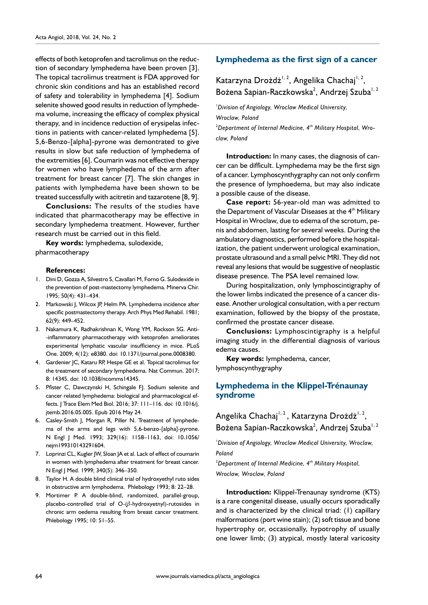effects of both ketoprofen and tacrolimus on the reduction of secondary lymphedema have been proven [3]. The topical tacrolimus treatment is FDA approved for chronic skin conditions and has an established record of safety and tolerability in lymphedema [4]. Sodium selenite showed good results in reduction of lymphedema volume, increasing the efficacy of complex physical therapy, and in incidence reduction of erysipelas infections in patients with cancer-related lymphedema [5]. 5,6-Benzo-[alpha]-pyrone was demontrated to give results in slow but safe reduction of lymphedema of the extremities [6]. Coumarin was not effective therapy for women who have lymphedema of the arm after treatment for breast cancer [7]. The skin changes in patients with lymphedema have been shown to be treated successfully with acitretin and tazarotene [8, 9].

**Conclusions:** The results of the studies have indicated that pharmacotherapy may be effective in secondary lymphedema treatment. However, further research must be carried out in this field.

**Key words:** lymphedema, sulodexide, pharmacotherapy

#### **References:**

- 1. Dini D, Gozza A, Silvestro S, Cavallari M, Forno G. Sulodexide in the prevention of post-mastectomy lymphedema. Minerva Chir. 1995; 50(4): 431–434.
- 2. Markowski J, Wilcox JP, Helm PA. Lymphedema incidence after specific postmastectomy therapy. Arch Phys Med Rehabil. 1981; 62(9): 449–452.
- 3. Nakamura K, Radhakrishnan K, Wong YM, Rockson SG. Anti- -inflammatory pharmacotherapy with ketoprofen ameliorates experimental lymphatic vascular insufficiency in mice. PLoS One. 2009; 4(12): e8380. doi: 10.1371/journal.pone.0008380.
- 4. Gardenier JC, Kataru RP, Hespe GE et al. Topical tacrolimus for the treatment of secondary lymphedema. Nat Commun. 2017; 8: 14345. doi: 10.1038/ncomms14345.
- 5. Pfister C, Dawczynski H, Schingale FJ. Sodium selenite and cancer related lymphedema: biological and pharmacological effects. J Trace Elem Med Biol. 2016; 37: 111–116. doi: 10.1016/j. jtemb.2016.05.005. Epub 2016 May 24.
- 6. Casley-Smith J, Morgan R, Piller N. Treatment of lymphedema of the arms and legs with 5,6-benzo-[alpha]-pyrone. N Engl J Med. 1993; 329(16): 1158–1163, doi: 10.1056/ nejm199310143291604.
- 7. Loprinzi CL, Kugler JW, Sloan JA et al. Lack of effect of coumarin in women with lymphedema after treatment for breast cancer. N Engl J Med. 1999; 340(5): 346–350.
- 8. Taylor H. A double blind clinical trial of hydroxyethyl ruto sides in obstructive arm lymphodema. Phlebology 1993; 8: 22–28.
- 9. Mortimer P. A double-blind, randomized, parallel-group, placebo-controlled trial of  $O-(\beta$ -hydroxyetnyl)-rutosides in chronic arm oedema resulting from breast cancer treatment. Phlebology 1995; 10: 51–55.

#### **Lymphedema as the first sign of a cancer**

Katarzyna Drożdż<sup>1, 2</sup>, Angelika Chachaj<sup>1, 2</sup>, Bożena Sapian-Raczkowska $^2$ , Andrzej Szuba $^{1,2}$ 

1 *Division of Angiology, Wroclaw Medical University, Wroclaw, Poland*  2 *Department of Internal Medicine, 4th Military Hospital, Wro-*

*claw, Poland* 

**Introduction:** In many cases, the diagnosis of cancer can be difficult. Lymphedema may be the first sign of a cancer. Lymphoscynthygraphy can not only confirm the presence of lymphoedema, but may also indicate a possible cause of the disease.

**Case report:** 56-year-old man was admitted to the Department of Vascular Diseases at the 4<sup>th</sup> Military Hospital in Wroclaw, due to edema of the scrotum, penis and abdomen, lasting for several weeks. During the ambulatory diagnostics, performed before the hospitalization, the patient underwent urological examination, prostate ultrasound and a small pelvic MRI. They did not reveal any lesions that would be suggestive of neoplastic disease presence. The PSA level remained low.

During hospitalization, only lymphoscintigraphy of the lower limbs indicated the presence of a cancer disease. Another urological consultation, with a per rectum examination, followed by the biopsy of the prostate, confirmed the prostate cancer disease.

**Conclusions:** Lymphoscintigraphy is a helpful imaging study in the differential diagnosis of various edema causes.

**Key words:** lymphedema, cancer, lymphoscynthygraphy

#### **Lymphedema in the Klippel-Trénaunay syndrome**

Angelika Chachaj<sup>1, 2</sup>, Katarzyna Drożdż<sup>1, 2</sup>, Bożena Sapian-Raczkowska<sup>2</sup>, Andrzej Szuba<sup>1, 2</sup>

1 *Division of Angiology, Wroclaw Medical University, Wroclaw, Poland* 

2 *Department of Internal Medicine, 4th Military Hospital, Wroclaw, Wroclaw, Poland* 

**Introduction:** Klippel-Trenaunay syndrome (KTS) is a rare congenital disease, usually occurs sporadically and is characterized by the clinical triad: (1) capillary malformations (port wine stain); (2) soft tissue and bone hypertrophy or, occasionally, hypotrophy of usually one lower limb; (3) atypical, mostly lateral varicosity